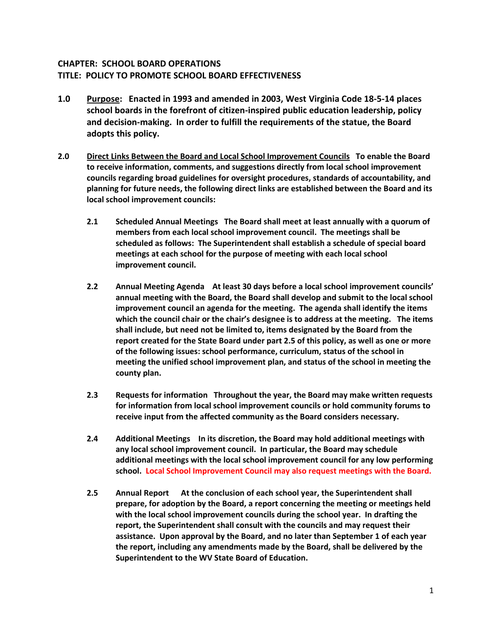## **CHAPTER: SCHOOL BOARD OPERATIONS TITLE: POLICY TO PROMOTE SCHOOL BOARD EFFECTIVENESS**

- **1.0 Purpose: Enacted in 1993 and amended in 2003, West Virginia Code 18-5-14 places school boards in the forefront of citizen-inspired public education leadership, policy and decision-making. In order to fulfill the requirements of the statue, the Board adopts this policy.**
- **2.0 Direct Links Between the Board and Local School Improvement Councils To enable the Board to receive information, comments, and suggestions directly from local school improvement councils regarding broad guidelines for oversight procedures, standards of accountability, and planning for future needs, the following direct links are established between the Board and its local school improvement councils:**
	- **2.1 Scheduled Annual Meetings The Board shall meet at least annually with a quorum of members from each local school improvement council. The meetings shall be scheduled as follows: The Superintendent shall establish a schedule of special board meetings at each school for the purpose of meeting with each local school improvement council.**
	- **2.2 Annual Meeting Agenda At least 30 days before a local school improvement councils' annual meeting with the Board, the Board shall develop and submit to the local school improvement council an agenda for the meeting. The agenda shall identify the items which the council chair or the chair's designee is to address at the meeting. The items shall include, but need not be limited to, items designated by the Board from the report created for the State Board under part 2.5 of this policy, as well as one or more of the following issues: school performance, curriculum, status of the school in meeting the unified school improvement plan, and status of the school in meeting the county plan.**
	- **2.3 Requests for information Throughout the year, the Board may make written requests for information from local school improvement councils or hold community forums to receive input from the affected community as the Board considers necessary.**
	- **2.4 Additional Meetings In its discretion, the Board may hold additional meetings with any local school improvement council. In particular, the Board may schedule additional meetings with the local school improvement council for any low performing school. Local School Improvement Council may also request meetings with the Board.**
	- **2.5 Annual Report At the conclusion of each school year, the Superintendent shall prepare, for adoption by the Board, a report concerning the meeting or meetings held with the local school improvement councils during the school year. In drafting the report, the Superintendent shall consult with the councils and may request their assistance. Upon approval by the Board, and no later than September 1 of each year the report, including any amendments made by the Board, shall be delivered by the Superintendent to the WV State Board of Education.**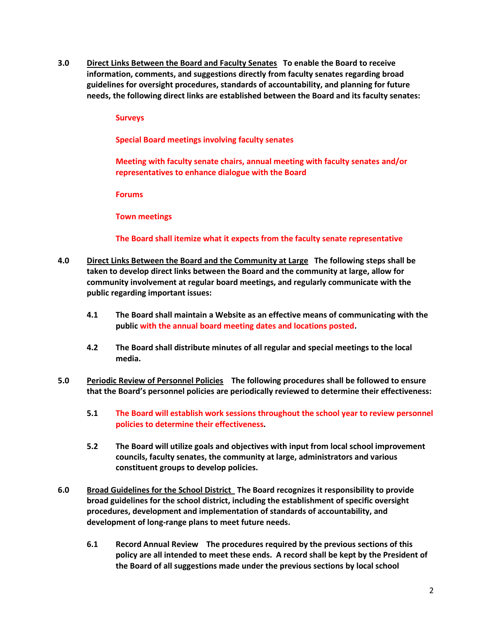**3.0 Direct Links Between the Board and Faculty Senates To enable the Board to receive information, comments, and suggestions directly from faculty senates regarding broad guidelines for oversight procedures, standards of accountability, and planning for future needs, the following direct links are established between the Board and its faculty senates:**

## **Surveys**

**Special Board meetings involving faculty senates**

**Meeting with faculty senate chairs, annual meeting with faculty senates and/or representatives to enhance dialogue with the Board**

**Forums**

**Town meetings**

**The Board shall itemize what it expects from the faculty senate representative** 

- **4.0 Direct Links Between the Board and the Community at Large The following steps shall be taken to develop direct links between the Board and the community at large, allow for community involvement at regular board meetings, and regularly communicate with the public regarding important issues:**
	- **4.1 The Board shall maintain a Website as an effective means of communicating with the public with the annual board meeting dates and locations posted.**
	- **4.2 The Board shall distribute minutes of all regular and special meetings to the local media.**
- **5.0 Periodic Review of Personnel Policies The following procedures shall be followed to ensure that the Board's personnel policies are periodically reviewed to determine their effectiveness:**
	- **5.1 The Board will establish work sessions throughout the school year to review personnel policies to determine their effectiveness.**
	- **5.2 The Board will utilize goals and objectives with input from local school improvement councils, faculty senates, the community at large, administrators and various constituent groups to develop policies.**
- **6.0 Broad Guidelines for the School District The Board recognizes it responsibility to provide broad guidelines for the school district, including the establishment of specific oversight procedures, development and implementation of standards of accountability, and development of long-range plans to meet future needs.**
	- **6.1 Record Annual Review The procedures required by the previous sections of this policy are all intended to meet these ends. A record shall be kept by the President of the Board of all suggestions made under the previous sections by local school**